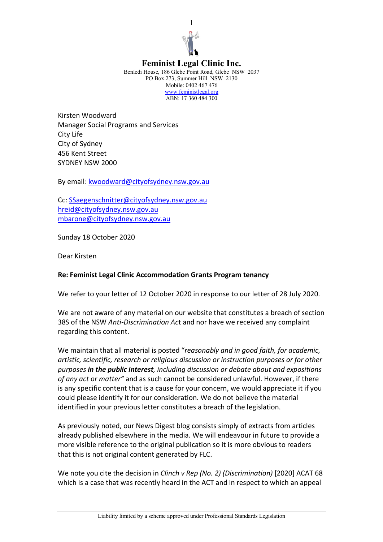

## **Feminist Legal Clinic Inc.**

Benledi House, 186 Glebe Point Road, Glebe NSW 2037 PO Box 273, Summer Hill NSW 2130 Mobile: 0402 467 476 www.feministlegal.org ABN: 17 360 484 300

Kirsten Woodward Manager Social Programs and Services City Life City of Sydney 456 Kent Street SYDNEY NSW 2000

By email: kwoodward@cityofsydney.nsw.gov.au

Cc: SSaegenschnitter@cityofsydney.nsw.gov.au hreid@cityofsydney.nsw.gov.au mbarone@cityofsydney.nsw.gov.au

Sunday 18 October 2020

Dear Kirsten

## **Re: Feminist Legal Clinic Accommodation Grants Program tenancy**

We refer to your letter of 12 October 2020 in response to our letter of 28 July 2020.

We are not aware of any material on our website that constitutes a breach of section 38S of the NSW *Anti-Discrimination Ac*t and nor have we received any complaint regarding this content.

We maintain that all material is posted "*reasonably and in good faith, for academic, artistic, scientific, research or religious discussion or instruction purposes or for other purposes in the public interest, including discussion or debate about and expositions of any act or matter"* and as such cannot be considered unlawful. However, if there is any specific content that is a cause for your concern, we would appreciate it if you could please identify it for our consideration. We do not believe the material identified in your previous letter constitutes a breach of the legislation.

As previously noted, our News Digest blog consists simply of extracts from articles already published elsewhere in the media. We will endeavour in future to provide a more visible reference to the original publication so it is more obvious to readers that this is not original content generated by FLC.

We note you cite the decision in *Clinch v Rep (No. 2) (Discrimination)* [2020] ACAT 68 which is a case that was recently heard in the ACT and in respect to which an appeal